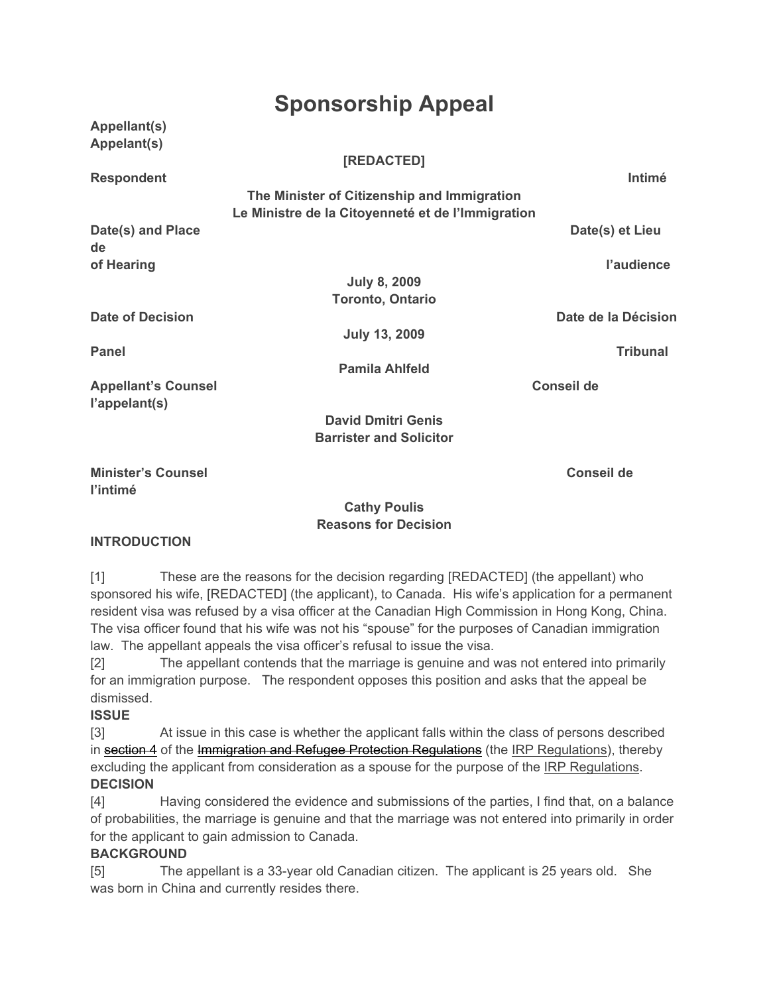# **Sponsorship Appeal**

**Appellant(s) Appelant(s)**

#### **[REDACTED]**

**Respondent Intimé**

**The Minister of Citizenship and Immigration Le Ministre de la Citoyenneté et de l'Immigration**

**Date(s) and Place Date(s) et Lieu Adventure Date(s) et Lieu Adventure Date(s) et Lieu Adventure Date(s) et Lieu de of Hearing lines and the set of Hearing lines and the set of Hearing lines and the set of Hearing lines and the set of Hearing lines and the set of Hearing lines and the set of Hearing lines and the set of Hearing lines a** 

> **July 8, 2009 Toronto, Ontario**

**Date of Decision Date de la Décision**

**Panel Tribunal**

Appellant's Counsel **Conseil de Conseil de Conseil de l'appelant(s)**

**July 13, 2009**

**Pamila Ahlfeld**

**David Dmitri Genis Barrister and Solicitor**

**Minister's Counsel Conseil de l'intimé**

#### **Cathy Poulis Reasons for Decision**

## **INTRODUCTION**

[1] These are the reasons for the decision regarding [REDACTED] (the appellant) who sponsored his wife, [REDACTED] (the applicant), to Canada. His wife's application for a permanent resident visa was refused by a visa officer at the Canadian High Commission in Hong Kong, China. The visa officer found that his wife was not his "spouse" for the purposes of Canadian immigration law. The appellant appeals the visa officer's refusal to issue the visa.

[2] The appellant contends that the marriage is genuine and was not entered into primarily for an immigration purpose. The respondent opposes this position and asks that the appeal be dismissed.

#### **ISSUE**

[3] At issue in this case is whether the applicant falls within the class of persons described in section 4 of the Immigration and Refugee Protection Regulations (the IRP Regulations), thereby excluding the applicant from consideration as a spouse for the purpose of the IRP Regulations. **DECISION**

[4] Having considered the evidence and submissions of the parties, I find that, on a balance of probabilities, the marriage is genuine and that the marriage was not entered into primarily in order for the applicant to gain admission to Canada.

## **BACKGROUND**

[5] The appellant is a 33-year old Canadian citizen. The applicant is 25 years old. She was born in China and currently resides there.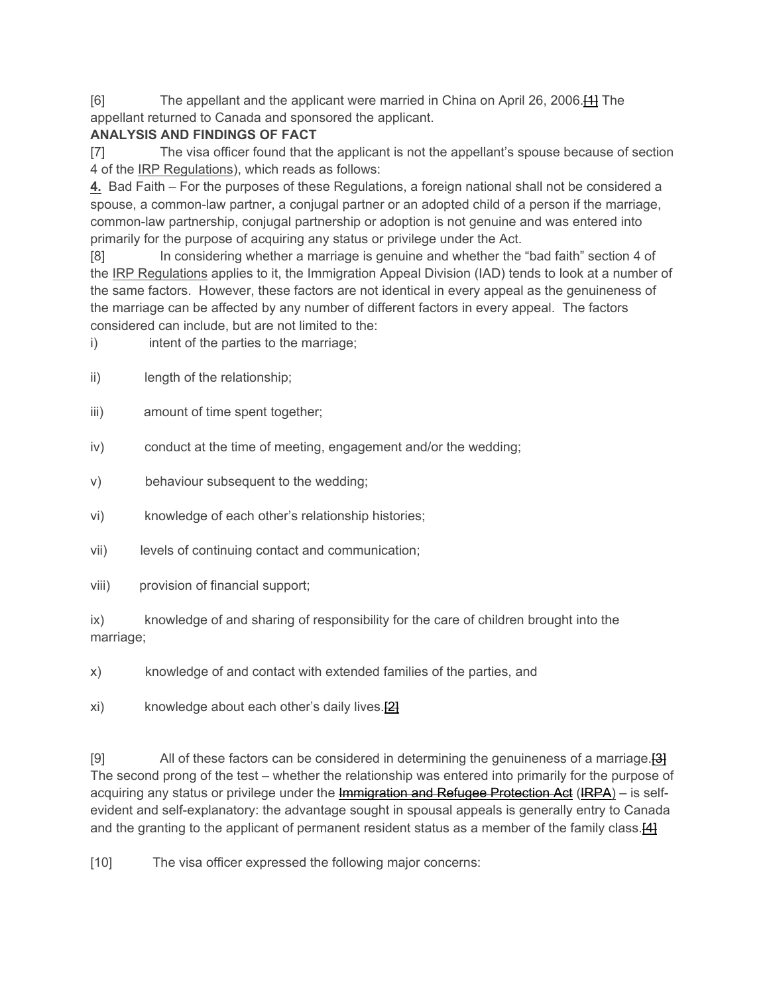[6] The appellant and the applicant were married in China on April 26, 2006.[1] The appellant returned to Canada and sponsored the applicant.

## **ANALYSIS AND FINDINGS OF FACT**

[7] The visa officer found that the applicant is not the appellant's spouse because of section 4 of the IRP Regulations), which reads as follows:

**4.** Bad Faith – For the purposes of these Regulations, a foreign national shall not be considered a spouse, a common-law partner, a conjugal partner or an adopted child of a person if the marriage, common-law partnership, conjugal partnership or adoption is not genuine and was entered into primarily for the purpose of acquiring any status or privilege under the Act.

[8] In considering whether a marriage is genuine and whether the "bad faith" section 4 of the IRP Regulations applies to it, the Immigration Appeal Division (IAD) tends to look at a number of the same factors. However, these factors are not identical in every appeal as the genuineness of the marriage can be affected by any number of different factors in every appeal. The factors considered can include, but are not limited to the:

i) intent of the parties to the marriage;

- ii) length of the relationship;
- iii) amount of time spent together;
- iv) conduct at the time of meeting, engagement and/or the wedding;
- v) behaviour subsequent to the wedding;
- vi) knowledge of each other's relationship histories;
- vii) levels of continuing contact and communication;
- viii) provision of financial support;

ix) knowledge of and sharing of responsibility for the care of children brought into the marriage;

x) knowledge of and contact with extended families of the parties, and

xi) knowledge about each other's daily lives.<sup>[2]</sup>

[9] All of these factors can be considered in determining the genuineness of a marriage. The second prong of the test – whether the relationship was entered into primarily for the purpose of acquiring any status or privilege under the Immigration and Refugee Protection Act (IRPA) – is selfevident and self-explanatory: the advantage sought in spousal appeals is generally entry to Canada and the granting to the applicant of permanent resident status as a member of the family class.<sup>[4]</sup>

[10] The visa officer expressed the following major concerns: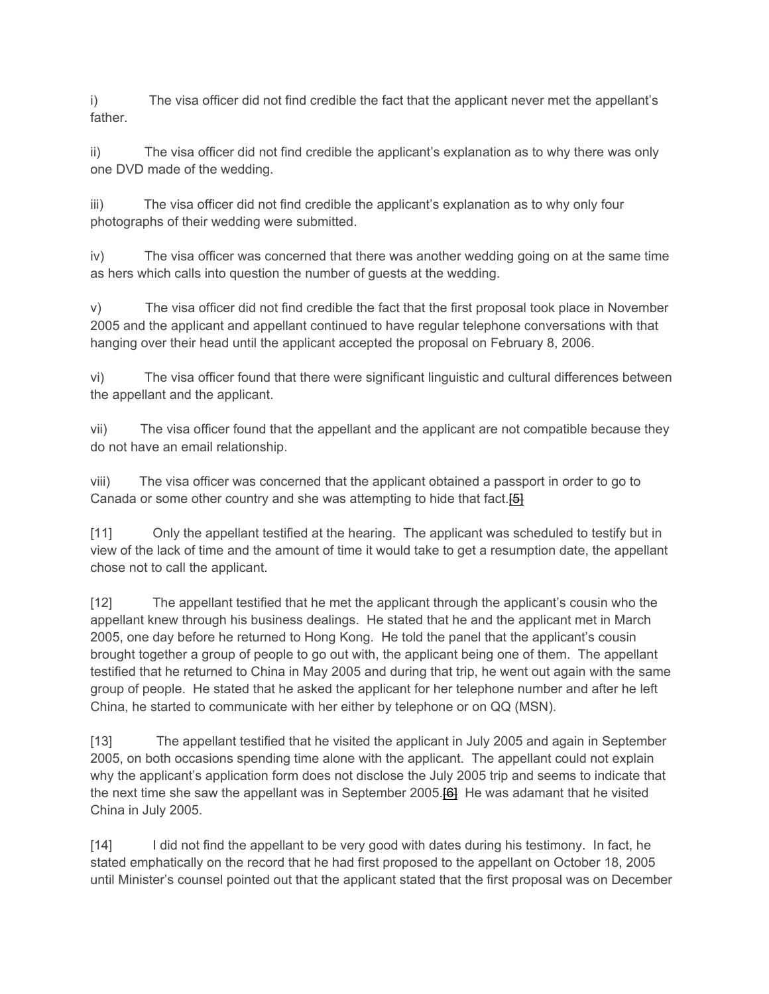i) The visa officer did not find credible the fact that the applicant never met the appellant's father.

ii) The visa officer did not find credible the applicant's explanation as to why there was only one DVD made of the wedding.

iii) The visa officer did not find credible the applicant's explanation as to why only four photographs of their wedding were submitted.

iv) The visa officer was concerned that there was another wedding going on at the same time as hers which calls into question the number of guests at the wedding.

v) The visa officer did not find credible the fact that the first proposal took place in November 2005 and the applicant and appellant continued to have regular telephone conversations with that hanging over their head until the applicant accepted the proposal on February 8, 2006.

vi) The visa officer found that there were significant linguistic and cultural differences between the appellant and the applicant.

vii) The visa officer found that the appellant and the applicant are not compatible because they do not have an email relationship.

viii) The visa officer was concerned that the applicant obtained a passport in order to go to Canada or some other country and she was attempting to hide that fact.<sup>[5]</sup>

[11] Only the appellant testified at the hearing. The applicant was scheduled to testify but in view of the lack of time and the amount of time it would take to get a resumption date, the appellant chose not to call the applicant.

[12] The appellant testified that he met the applicant through the applicant's cousin who the appellant knew through his business dealings. He stated that he and the applicant met in March 2005, one day before he returned to Hong Kong. He told the panel that the applicant's cousin brought together a group of people to go out with, the applicant being one of them. The appellant testified that he returned to China in May 2005 and during that trip, he went out again with the same group of people. He stated that he asked the applicant for her telephone number and after he left China, he started to communicate with her either by telephone or on QQ (MSN).

[13] The appellant testified that he visited the applicant in July 2005 and again in September 2005, on both occasions spending time alone with the applicant. The appellant could not explain why the applicant's application form does not disclose the July 2005 trip and seems to indicate that the next time she saw the appellant was in September 2005.<sup>[6]</sup> He was adamant that he visited China in July 2005.

[14] I did not find the appellant to be very good with dates during his testimony. In fact, he stated emphatically on the record that he had first proposed to the appellant on October 18, 2005 until Minister's counsel pointed out that the applicant stated that the first proposal was on December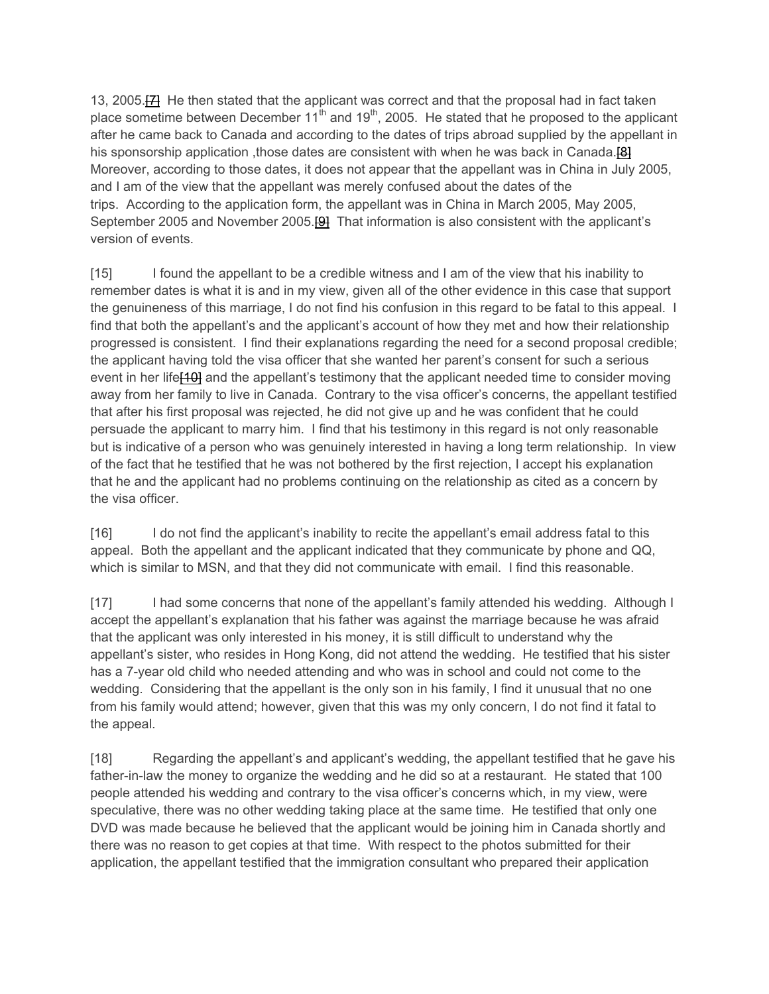13, 2005.<sup>[2]</sup> He then stated that the applicant was correct and that the proposal had in fact taken place sometime between December  $11<sup>th</sup>$  and  $19<sup>th</sup>$ , 2005. He stated that he proposed to the applicant after he came back to Canada and according to the dates of trips abroad supplied by the appellant in his sponsorship application, those dates are consistent with when he was back in Canada.<sup>[8]</sup> Moreover, according to those dates, it does not appear that the appellant was in China in July 2005, and I am of the view that the appellant was merely confused about the dates of the trips. According to the application form, the appellant was in China in March 2005, May 2005, September 2005 and November 2005.<sup>[9]</sup> That information is also consistent with the applicant's version of events.

[15] I found the appellant to be a credible witness and I am of the view that his inability to remember dates is what it is and in my view, given all of the other evidence in this case that support the genuineness of this marriage, I do not find his confusion in this regard to be fatal to this appeal. I find that both the appellant's and the applicant's account of how they met and how their relationship progressed is consistent. I find their explanations regarding the need for a second proposal credible; the applicant having told the visa officer that she wanted her parent's consent for such a serious event in her life<sup>[10]</sup> and the appellant's testimony that the applicant needed time to consider moving away from her family to live in Canada. Contrary to the visa officer's concerns, the appellant testified that after his first proposal was rejected, he did not give up and he was confident that he could persuade the applicant to marry him. I find that his testimony in this regard is not only reasonable but is indicative of a person who was genuinely interested in having a long term relationship. In view of the fact that he testified that he was not bothered by the first rejection, I accept his explanation that he and the applicant had no problems continuing on the relationship as cited as a concern by the visa officer.

[16] I do not find the applicant's inability to recite the appellant's email address fatal to this appeal. Both the appellant and the applicant indicated that they communicate by phone and QQ, which is similar to MSN, and that they did not communicate with email. I find this reasonable.

[17] I had some concerns that none of the appellant's family attended his wedding. Although I accept the appellant's explanation that his father was against the marriage because he was afraid that the applicant was only interested in his money, it is still difficult to understand why the appellant's sister, who resides in Hong Kong, did not attend the wedding. He testified that his sister has a 7-year old child who needed attending and who was in school and could not come to the wedding. Considering that the appellant is the only son in his family, I find it unusual that no one from his family would attend; however, given that this was my only concern, I do not find it fatal to the appeal.

[18] Regarding the appellant's and applicant's wedding, the appellant testified that he gave his father-in-law the money to organize the wedding and he did so at a restaurant. He stated that 100 people attended his wedding and contrary to the visa officer's concerns which, in my view, were speculative, there was no other wedding taking place at the same time. He testified that only one DVD was made because he believed that the applicant would be joining him in Canada shortly and there was no reason to get copies at that time. With respect to the photos submitted for their application, the appellant testified that the immigration consultant who prepared their application